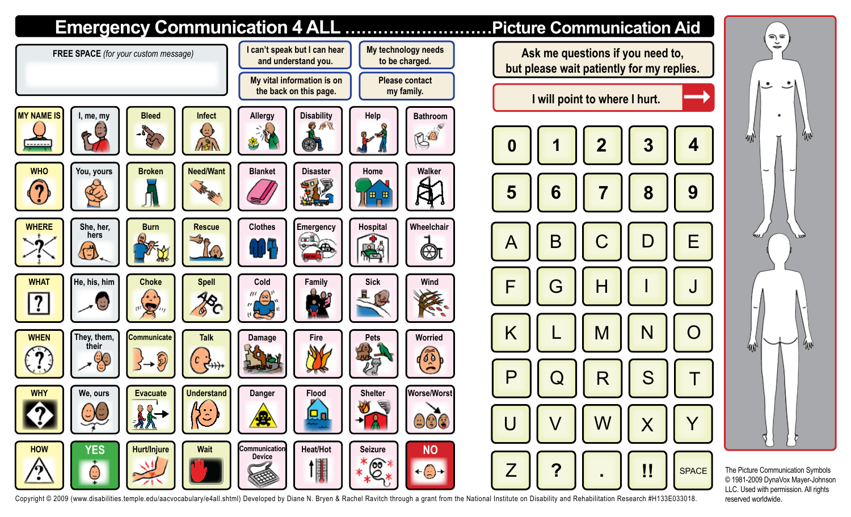

Copyright © 2009 (www.disabilities.temple.edu/aacvocabulary/e4all.shtml) Developed by Diane N. Bryen & Rachel Ravitch through a grant from the National Institute on Disability and Rehabilitation Research #H133E033018. rese

© 1981-2009 DynaVox Mayer-Johnson LLC. Used with permission. All rights